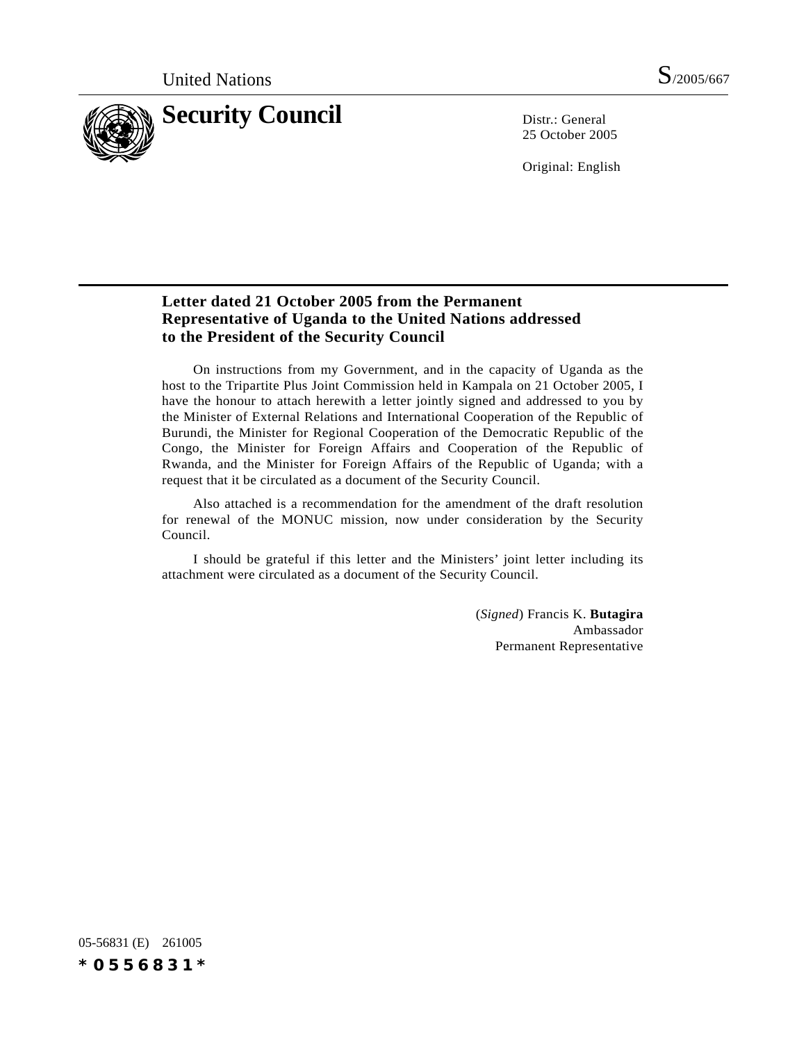

25 October 2005

Original: English

## **Letter dated 21 October 2005 from the Permanent Representative of Uganda to the United Nations addressed to the President of the Security Council**

On instructions from my Government, and in the capacity of Uganda as the host to the Tripartite Plus Joint Commission held in Kampala on 21 October 2005, I have the honour to attach herewith a letter jointly signed and addressed to you by the Minister of External Relations and International Cooperation of the Republic of Burundi, the Minister for Regional Cooperation of the Democratic Republic of the Congo, the Minister for Foreign Affairs and Cooperation of the Republic of Rwanda, and the Minister for Foreign Affairs of the Republic of Uganda; with a request that it be circulated as a document of the Security Council.

Also attached is a recommendation for the amendment of the draft resolution for renewal of the MONUC mission, now under consideration by the Security Council.

I should be grateful if this letter and the Ministers' joint letter including its attachment were circulated as a document of the Security Council.

> (*Signed*) Francis K. **Butagira** Ambassador Permanent Representative

05-56831 (E) 261005 *\*0556831\**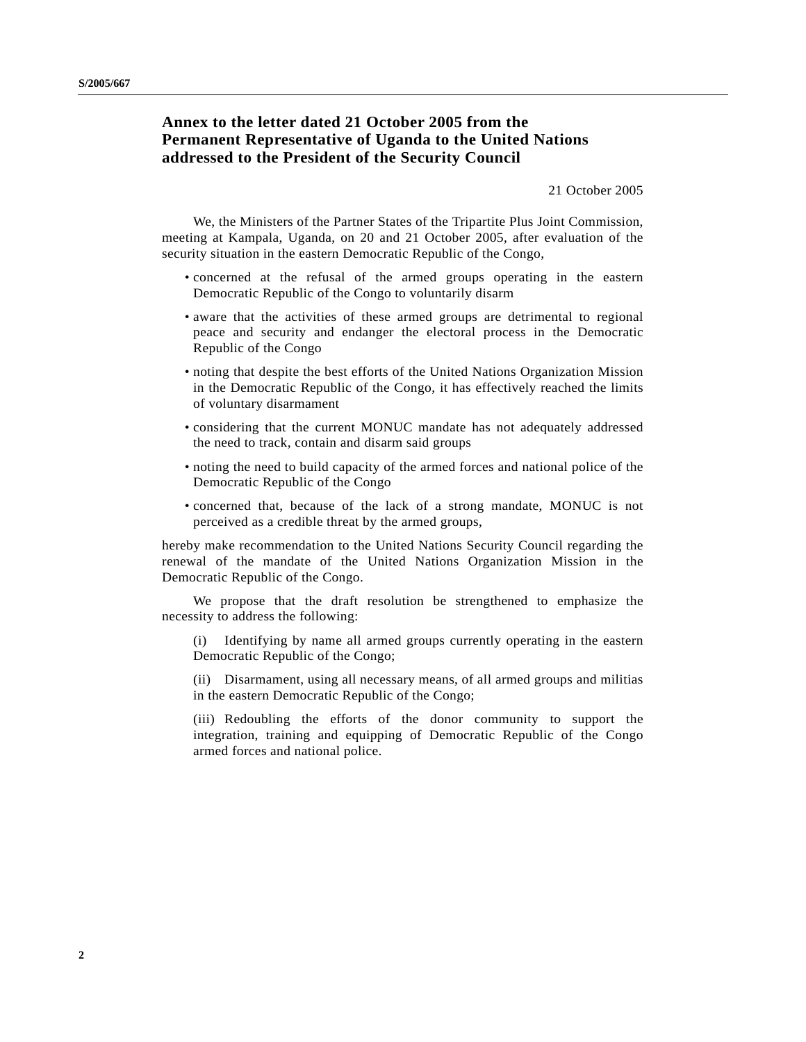## **Annex to the letter dated 21 October 2005 from the Permanent Representative of Uganda to the United Nations addressed to the President of the Security Council**

21 October 2005

We, the Ministers of the Partner States of the Tripartite Plus Joint Commission, meeting at Kampala, Uganda, on 20 and 21 October 2005, after evaluation of the security situation in the eastern Democratic Republic of the Congo,

- concerned at the refusal of the armed groups operating in the eastern Democratic Republic of the Congo to voluntarily disarm
- aware that the activities of these armed groups are detrimental to regional peace and security and endanger the electoral process in the Democratic Republic of the Congo
- noting that despite the best efforts of the United Nations Organization Mission in the Democratic Republic of the Congo, it has effectively reached the limits of voluntary disarmament
- considering that the current MONUC mandate has not adequately addressed the need to track, contain and disarm said groups
- noting the need to build capacity of the armed forces and national police of the Democratic Republic of the Congo
- concerned that, because of the lack of a strong mandate, MONUC is not perceived as a credible threat by the armed groups,

hereby make recommendation to the United Nations Security Council regarding the renewal of the mandate of the United Nations Organization Mission in the Democratic Republic of the Congo.

We propose that the draft resolution be strengthened to emphasize the necessity to address the following:

(i) Identifying by name all armed groups currently operating in the eastern Democratic Republic of the Congo;

(ii) Disarmament, using all necessary means, of all armed groups and militias in the eastern Democratic Republic of the Congo;

(iii) Redoubling the efforts of the donor community to support the integration, training and equipping of Democratic Republic of the Congo armed forces and national police.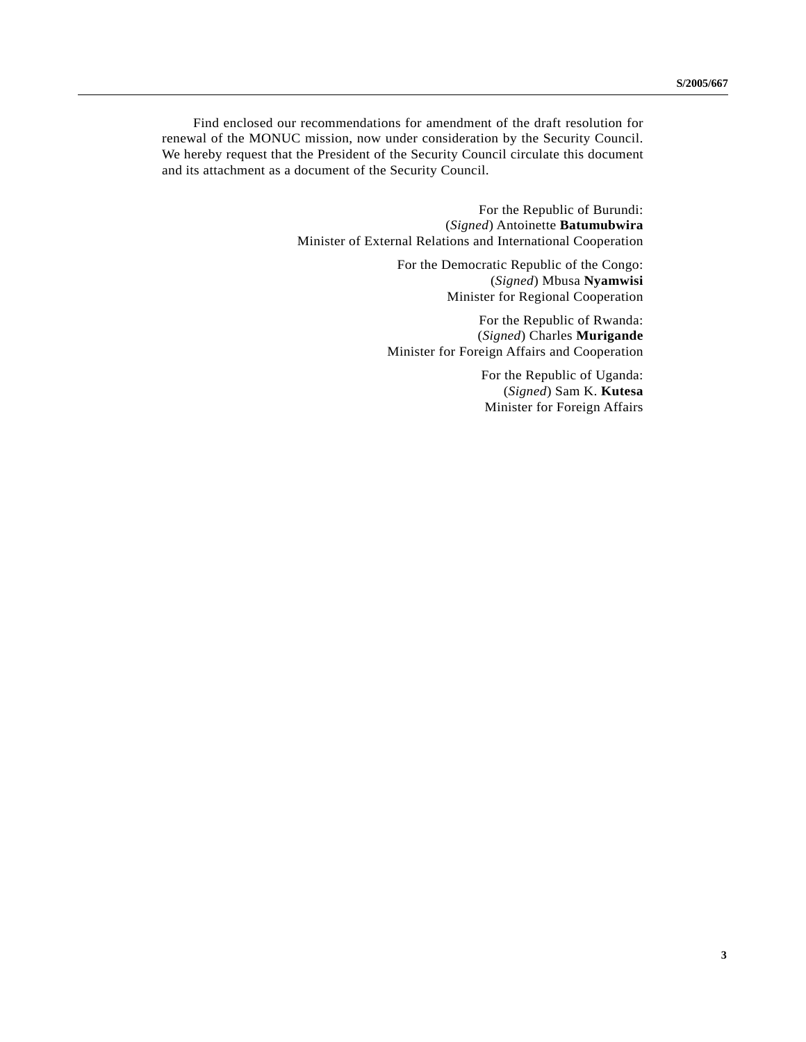Find enclosed our recommendations for amendment of the draft resolution for renewal of the MONUC mission, now under consideration by the Security Council. We hereby request that the President of the Security Council circulate this document and its attachment as a document of the Security Council.

> For the Republic of Burundi: (*Signed*) Antoinette **Batumubwira** Minister of External Relations and International Cooperation

> > For the Democratic Republic of the Congo: (*Signed*) Mbusa **Nyamwisi** Minister for Regional Cooperation

For the Republic of Rwanda: (*Signed*) Charles **Murigande** Minister for Foreign Affairs and Cooperation

> For the Republic of Uganda: (*Signed*) Sam K. **Kutesa** Minister for Foreign Affairs